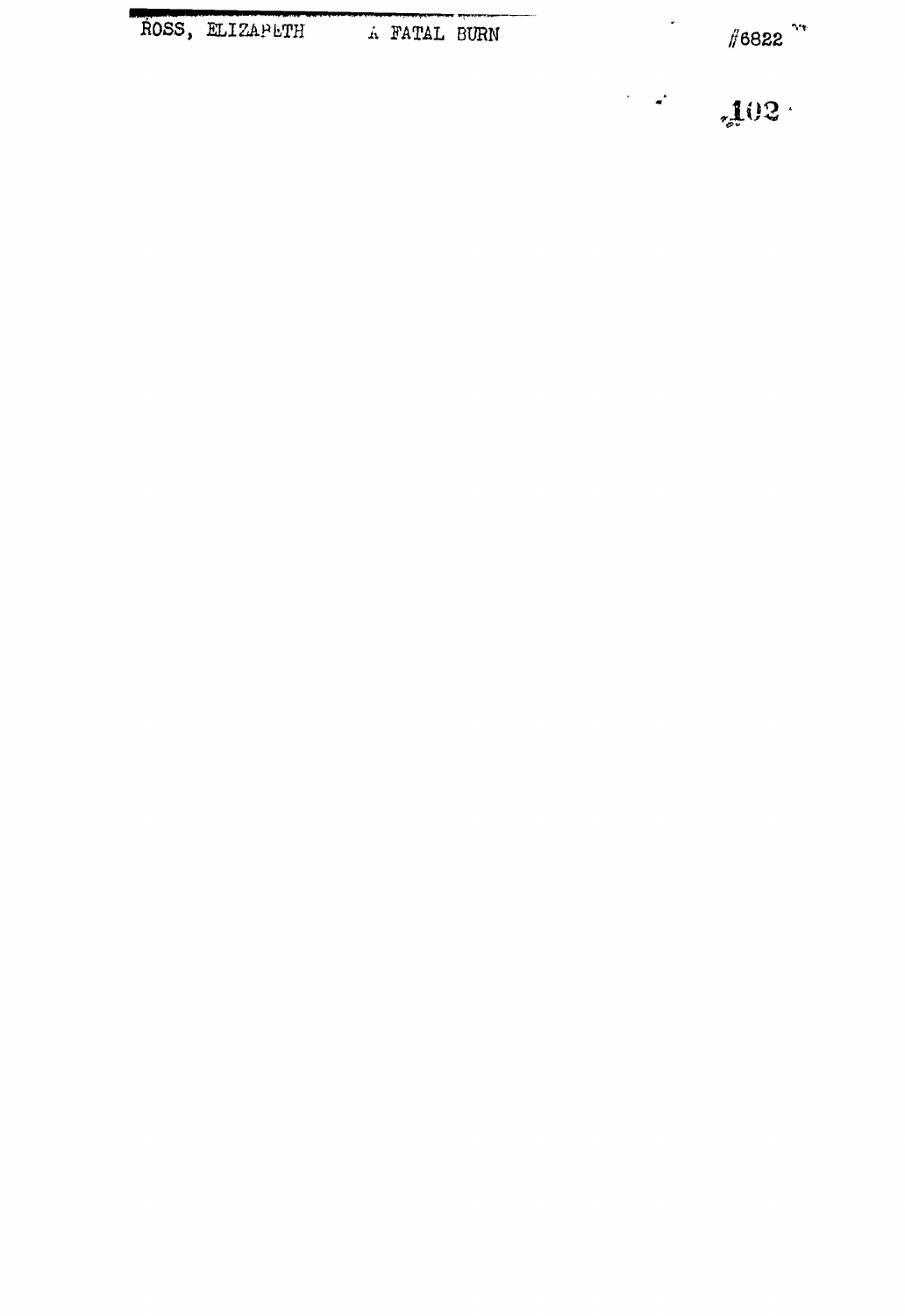ROSS, ELIZAPETH A FATAL BURN

 $\#6822$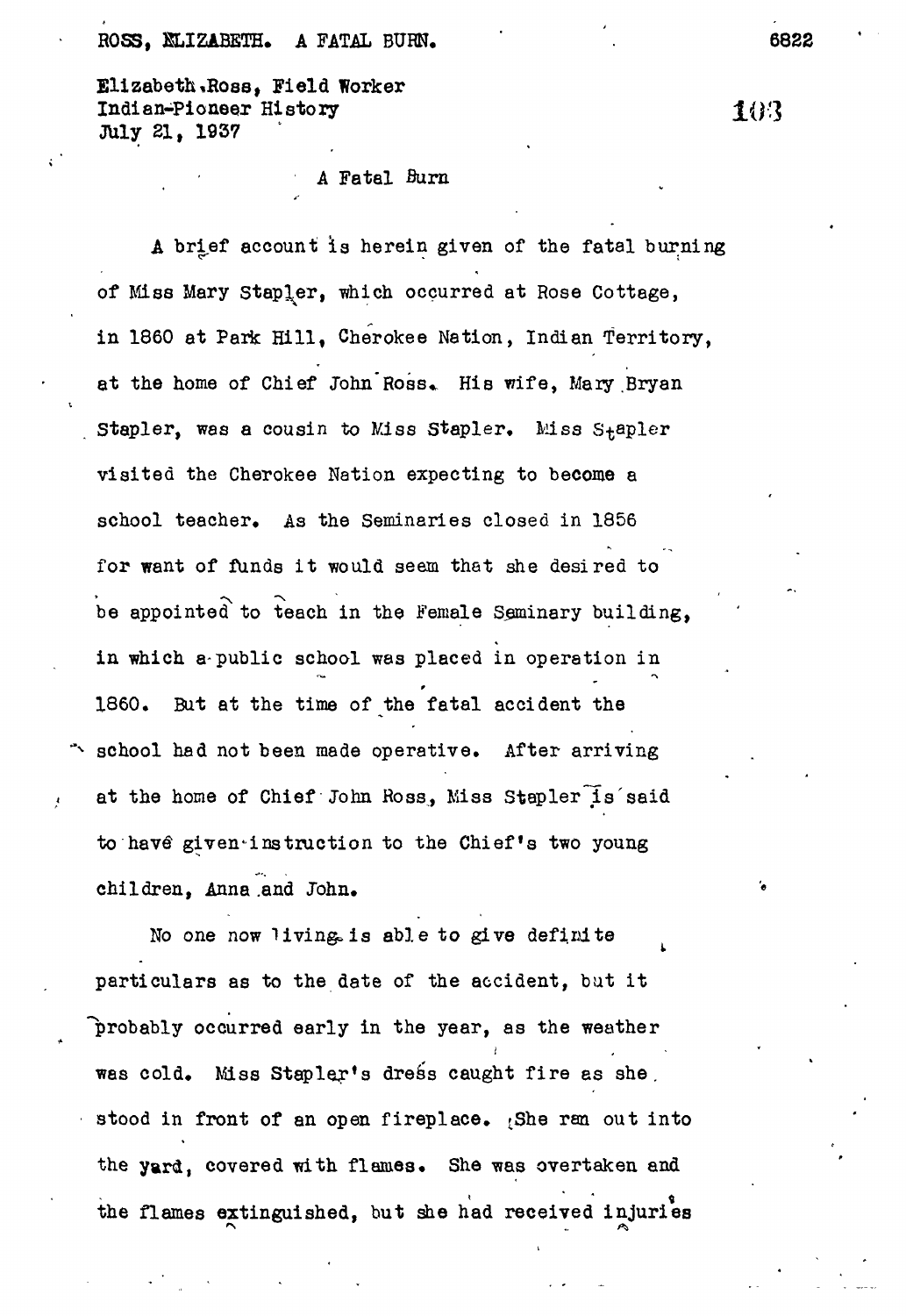## ROSS, NLIZABETH. A FATAL BURN. (6822)

Elizabeth%Ross, Field Worker Indian-Pioneer History XO"3 July 21, 1937

A Fatal Burn

A brief account is herein given of the fatal burning of Miss Mary Stapler, which occurred at Rose Cottage, in 1860 at Park Hill, Cherokee Nation, Indian Territory, at the home of Chief John Ross. His wife, Mary Bryan Stapler, was a cousin to Miss Stapler. Miss Stapler visited the Cherokee Nation expecting to become a school teacher. As the Seminaries closed in 1856 for want of funds it would seem that she desired to be appointed to teach in the Female Seminary building, in which a-public school was placed in operation in I860, But at the time of the fatal accident the school had not been made operative. After arriving at the home of Chief John Ross, Miss Stapler is said to have given instruction to the Chief's two young children, Anna .and John.

No one now living is able to give definite particulars as to the date of the accident, but it probably occurred early in the year, as the weather was cold. Miss Stapler's dress caught fire as she. stood in front of an open fireplace.  $\beta$ he ran out into the yard, covered with flames. She was overtaken and the flames extinguished, but she had received injuries